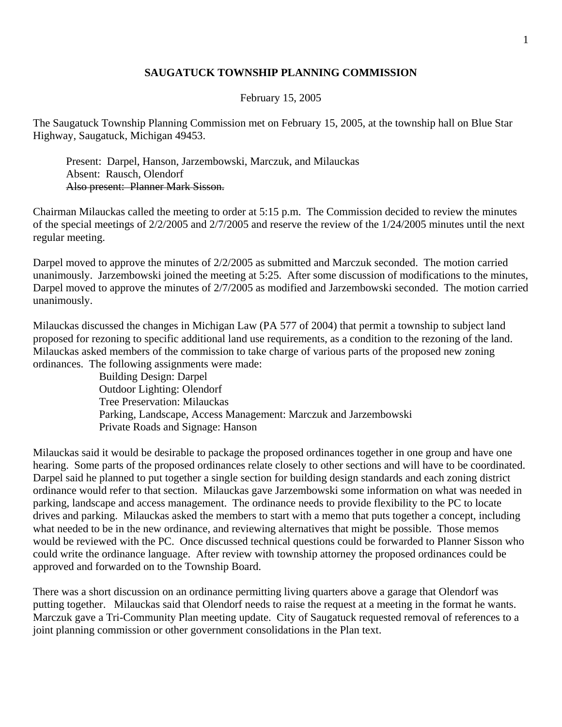## **SAUGATUCK TOWNSHIP PLANNING COMMISSION**

## February 15, 2005

The Saugatuck Township Planning Commission met on February 15, 2005, at the township hall on Blue Star Highway, Saugatuck, Michigan 49453.

 Present: Darpel, Hanson, Jarzembowski, Marczuk, and Milauckas Absent: Rausch, Olendorf Also present: Planner Mark Sisson.

Chairman Milauckas called the meeting to order at 5:15 p.m. The Commission decided to review the minutes of the special meetings of 2/2/2005 and 2/7/2005 and reserve the review of the 1/24/2005 minutes until the next regular meeting.

Darpel moved to approve the minutes of  $2/2/2005$  as submitted and Marczuk seconded. The motion carried unanimously. Jarzembowski joined the meeting at 5:25. After some discussion of modifications to the minutes, Darpel moved to approve the minutes of 2/7/2005 as modified and Jarzembowski seconded. The motion carried unanimously.

Milauckas discussed the changes in Michigan Law (PA 577 of 2004) that permit a township to subject land proposed for rezoning to specific additional land use requirements, as a condition to the rezoning of the land. Milauckas asked members of the commission to take charge of various parts of the proposed new zoning ordinances. The following assignments were made:

> Building Design: Darpel Outdoor Lighting: Olendorf Tree Preservation: Milauckas Parking, Landscape, Access Management: Marczuk and Jarzembowski Private Roads and Signage: Hanson

Milauckas said it would be desirable to package the proposed ordinances together in one group and have one hearing. Some parts of the proposed ordinances relate closely to other sections and will have to be coordinated. Darpel said he planned to put together a single section for building design standards and each zoning district ordinance would refer to that section. Milauckas gave Jarzembowski some information on what was needed in parking, landscape and access management. The ordinance needs to provide flexibility to the PC to locate drives and parking. Milauckas asked the members to start with a memo that puts together a concept, including what needed to be in the new ordinance, and reviewing alternatives that might be possible. Those memos would be reviewed with the PC. Once discussed technical questions could be forwarded to Planner Sisson who could write the ordinance language. After review with township attorney the proposed ordinances could be approved and forwarded on to the Township Board.

There was a short discussion on an ordinance permitting living quarters above a garage that Olendorf was putting together. Milauckas said that Olendorf needs to raise the request at a meeting in the format he wants. Marczuk gave a Tri-Community Plan meeting update. City of Saugatuck requested removal of references to a joint planning commission or other government consolidations in the Plan text.